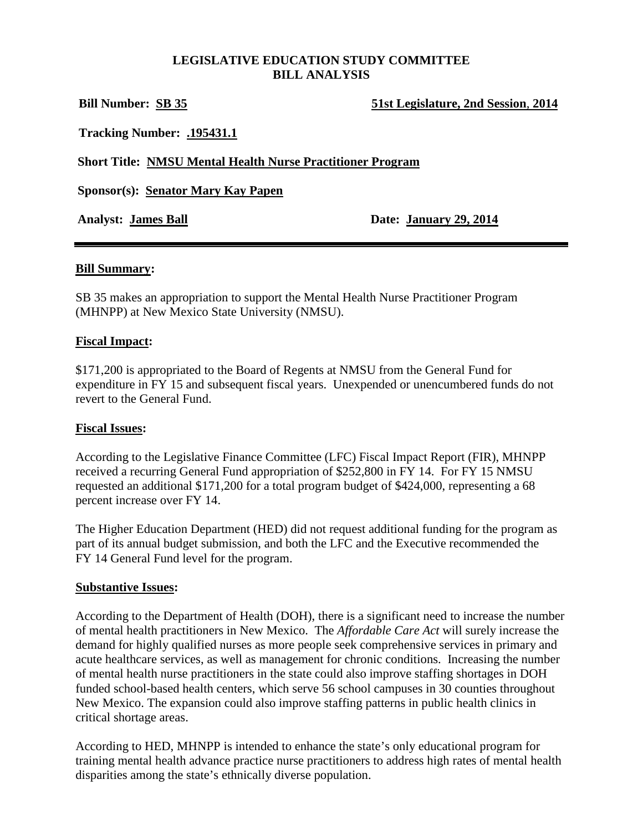#### **LEGISLATIVE EDUCATION STUDY COMMITTEE BILL ANALYSIS**

| <b>Bill Number: SB 35</b>                                         | 51st Legislature, 2nd Session, 2014 |
|-------------------------------------------------------------------|-------------------------------------|
| <b>Tracking Number: .195431.1</b>                                 |                                     |
| <b>Short Title: NMSU Mental Health Nurse Practitioner Program</b> |                                     |
| <b>Sponsor(s): Senator Mary Kay Papen</b>                         |                                     |
| <b>Analyst: James Ball</b>                                        | Date: January 29, 2014              |
|                                                                   |                                     |

#### **Bill Summary:**

SB 35 makes an appropriation to support the Mental Health Nurse Practitioner Program (MHNPP) at New Mexico State University (NMSU).

### **Fiscal Impact:**

\$171,200 is appropriated to the Board of Regents at NMSU from the General Fund for expenditure in FY 15 and subsequent fiscal years. Unexpended or unencumbered funds do not revert to the General Fund.

#### **Fiscal Issues:**

According to the Legislative Finance Committee (LFC) Fiscal Impact Report (FIR), MHNPP received a recurring General Fund appropriation of \$252,800 in FY 14. For FY 15 NMSU requested an additional \$171,200 for a total program budget of \$424,000, representing a 68 percent increase over FY 14.

The Higher Education Department (HED) did not request additional funding for the program as part of its annual budget submission, and both the LFC and the Executive recommended the FY 14 General Fund level for the program.

#### **Substantive Issues:**

According to the Department of Health (DOH), there is a significant need to increase the number of mental health practitioners in New Mexico. The *Affordable Care Act* will surely increase the demand for highly qualified nurses as more people seek comprehensive services in primary and acute healthcare services, as well as management for chronic conditions. Increasing the number of mental health nurse practitioners in the state could also improve staffing shortages in DOH funded school-based health centers, which serve 56 school campuses in 30 counties throughout New Mexico. The expansion could also improve staffing patterns in public health clinics in critical shortage areas.

According to HED, MHNPP is intended to enhance the state's only educational program for training mental health advance practice nurse practitioners to address high rates of mental health disparities among the state's ethnically diverse population.